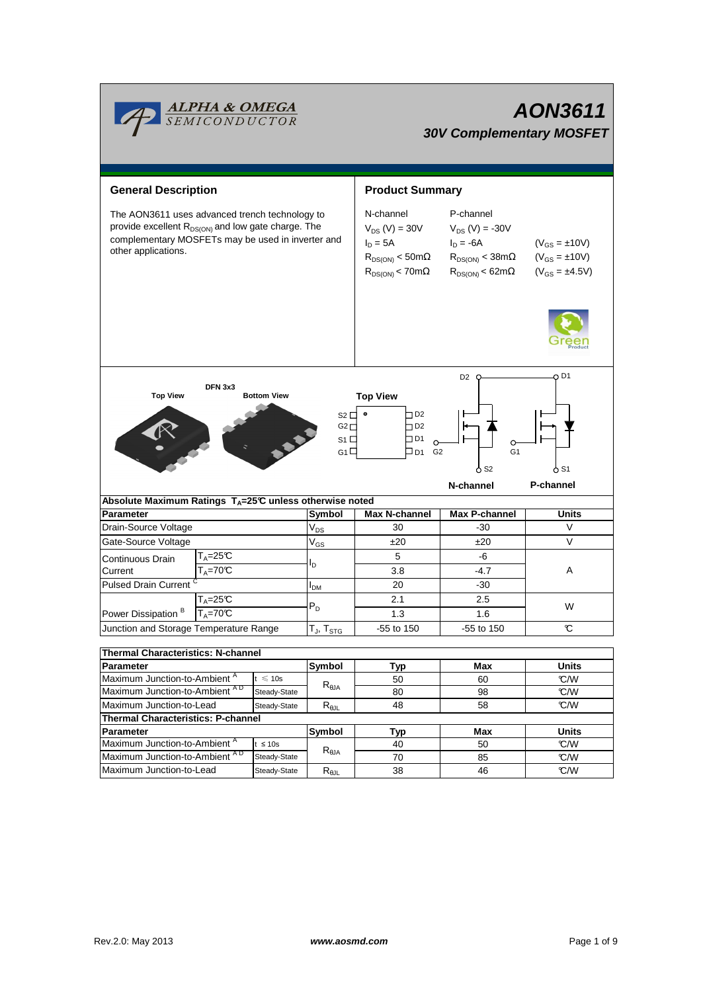

# **AON3611 30V Complementary MOSFET**

| <b>General Description</b>                                                                                                                                                                   |                                |                                  | <b>Product Summary</b>                                                                                      |                                                                                                                                               |                  |  |  |
|----------------------------------------------------------------------------------------------------------------------------------------------------------------------------------------------|--------------------------------|----------------------------------|-------------------------------------------------------------------------------------------------------------|-----------------------------------------------------------------------------------------------------------------------------------------------|------------------|--|--|
| The AON3611 uses advanced trench technology to<br>provide excellent R <sub>DS(ON)</sub> and low gate charge. The<br>complementary MOSFETs may be used in inverter and<br>other applications. |                                |                                  | N-channel<br>$V_{DS}$ (V) = 30V<br>$I_D = 5A$<br>$R_{DS(ON)}$ < 50m $\Omega$<br>$R_{DS(ON)}$ < 70m $\Omega$ | P-channel<br>$V_{DS} (V) = -30V$<br>$I_D = -6A$<br>$\mathsf{R}_{\mathsf{DS}(\mathsf{ON})} < 38 \mathsf{m}\Omega$<br>$R_{DS(ON)} < 62 m\Omega$ |                  |  |  |
|                                                                                                                                                                                              |                                |                                  |                                                                                                             | D <sub>2</sub>                                                                                                                                | O D1             |  |  |
| DFN 3x3<br><b>Top View</b>                                                                                                                                                                   | <b>Bottom View</b>             | $S2\square$                      | <b>Top View</b><br>$\square$ D2                                                                             |                                                                                                                                               |                  |  |  |
|                                                                                                                                                                                              |                                | G2                               | $\square$ D2                                                                                                |                                                                                                                                               |                  |  |  |
|                                                                                                                                                                                              |                                | $S_1 \Box$                       | $\square$ D1                                                                                                |                                                                                                                                               |                  |  |  |
| G1 $\square$<br>$\square$ D1<br>G <sub>2</sub>                                                                                                                                               |                                |                                  |                                                                                                             | G <sub>1</sub>                                                                                                                                |                  |  |  |
|                                                                                                                                                                                              |                                |                                  | $\mathsf{\circ}$ S2                                                                                         | o S1                                                                                                                                          |                  |  |  |
|                                                                                                                                                                                              |                                |                                  |                                                                                                             | N-channel                                                                                                                                     | <b>P-channel</b> |  |  |
| Absolute Maximum Ratings $T_A = 25^\circ \text{C}$ unless otherwise noted                                                                                                                    |                                |                                  |                                                                                                             |                                                                                                                                               | <b>Units</b>     |  |  |
| <b>Parameter</b><br>Drain-Source Voltage                                                                                                                                                     |                                | Symbol<br>$V_{DS}$               | <b>Max N-channel</b><br>30                                                                                  | Max P-channel<br>$-30$                                                                                                                        | V                |  |  |
| Gate-Source Voltage                                                                                                                                                                          |                                |                                  | ±20                                                                                                         | ±20                                                                                                                                           | $\vee$           |  |  |
| T <sub>A</sub> =25℃                                                                                                                                                                          |                                | $\mathsf{V}_{\mathsf{GS}}$       | 5                                                                                                           | -6                                                                                                                                            |                  |  |  |
| Continuous Drain<br>$T_{\text{A}} = 70 \text{°C}$<br>Current                                                                                                                                 | l <sub>D</sub>                 |                                  | 3.8                                                                                                         | $-4.7$                                                                                                                                        |                  |  |  |
|                                                                                                                                                                                              |                                |                                  |                                                                                                             |                                                                                                                                               | Α                |  |  |
| Pulsed Drain Current                                                                                                                                                                         |                                | I <sub>DM</sub>                  | 20<br>2.1                                                                                                   | $-30$                                                                                                                                         |                  |  |  |
| $T_A = 70C$                                                                                                                                                                                  | $T_A = 25C$                    |                                  |                                                                                                             | 2.5                                                                                                                                           | W                |  |  |
| Power Dissipation <sup>B</sup>                                                                                                                                                               |                                |                                  | 1.3                                                                                                         | 1.6                                                                                                                                           |                  |  |  |
| Junction and Storage Temperature Range                                                                                                                                                       |                                | $T_J$ , $T_{STG}$                | -55 to 150                                                                                                  | -55 to 150                                                                                                                                    | C                |  |  |
| <b>Thermal Characteristics: N-channel</b>                                                                                                                                                    |                                |                                  |                                                                                                             |                                                                                                                                               |                  |  |  |
| Parameter                                                                                                                                                                                    |                                | Symbol                           | Typ                                                                                                         | Max                                                                                                                                           | Units            |  |  |
| Maximum Junction-to-Ambient <sup>A</sup><br>$t \leqslant 10s$                                                                                                                                |                                |                                  | 50                                                                                                          | 60                                                                                                                                            | °C/W             |  |  |
| Maximum Junction-to-Ambient AD                                                                                                                                                               | $R_{\theta$ JA<br>Steady-State |                                  | 80                                                                                                          | 98                                                                                                                                            | °C/W             |  |  |
| Maximum Junction-to-Lead<br>Steady-State                                                                                                                                                     |                                | $\mathsf{R}_{\theta\mathsf{JL}}$ | 48                                                                                                          | 58                                                                                                                                            | °C/W             |  |  |
| <b>Thermal Characteristics: P-channel</b>                                                                                                                                                    |                                |                                  |                                                                                                             |                                                                                                                                               |                  |  |  |
| <b>Symbol</b><br>Parameter                                                                                                                                                                   |                                |                                  | Typ                                                                                                         | Max                                                                                                                                           | <b>Units</b>     |  |  |
| Maximum Junction-to-Ambient <sup>A</sup>                                                                                                                                                     | $t \leq 10s$                   |                                  | 40                                                                                                          | 50                                                                                                                                            | °C/W             |  |  |
| Maximum Junction-to-Ambient AD<br>Steady-State                                                                                                                                               |                                | $R_{\theta$ JA                   | 70                                                                                                          | 85                                                                                                                                            | °C/W             |  |  |

Maximum Junction-to-Lead Steady-State R<sub>θJL</sub> 38 46 °C/W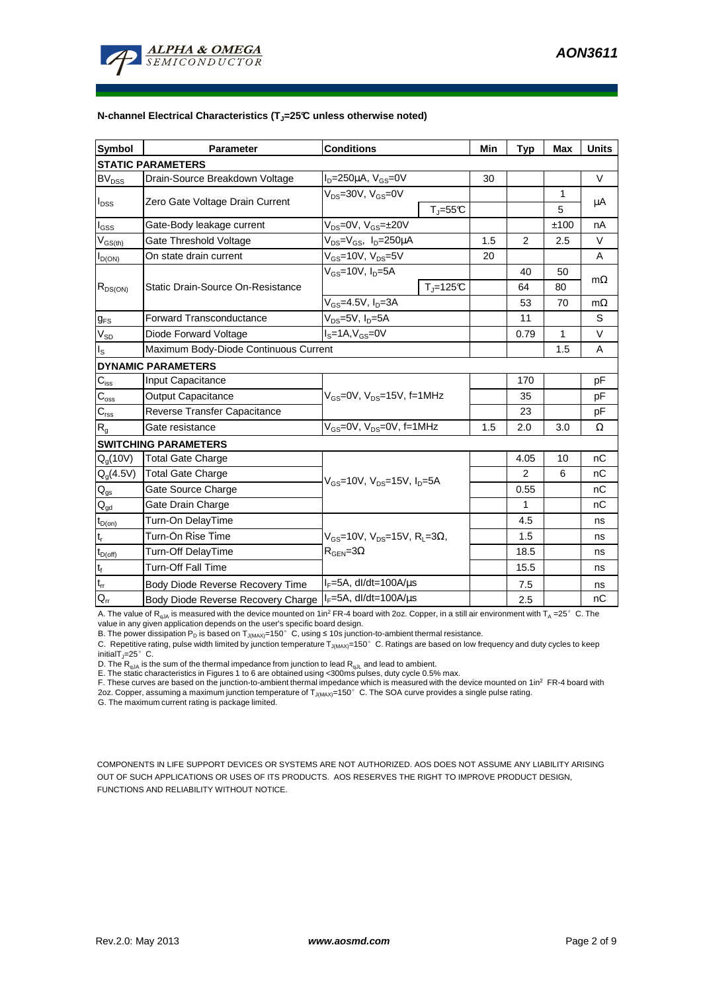

#### **N-channel Electrical Characteristics (TJ=25°C unless otherwise noted)**

| <b>Symbol</b>                        | <b>Parameter</b>                      | <b>Conditions</b>                                          | Min | <b>Typ</b> | <b>Max</b>   | <b>Units</b> |  |  |
|--------------------------------------|---------------------------------------|------------------------------------------------------------|-----|------------|--------------|--------------|--|--|
| <b>STATIC PARAMETERS</b>             |                                       |                                                            |     |            |              |              |  |  |
| <b>BV<sub>DSS</sub></b>              | Drain-Source Breakdown Voltage        | $I_D = 250 \mu A$ , $V_{GS} = 0V$                          | 30  |            |              | $\vee$       |  |  |
| $I_{DSS}$                            | Zero Gate Voltage Drain Current       | $V_{DS}$ =30V, $V_{GS}$ =0V                                |     |            | $\mathbf{1}$ | μA           |  |  |
|                                      |                                       | $T_J = 55C$                                                |     |            | 5            |              |  |  |
| $I_{GS}$                             | Gate-Body leakage current             | $V_{DS} = 0V$ , $V_{GS} = \pm 20V$                         |     |            | ±100         | nA           |  |  |
| $V_{GS(th)}$                         | Gate Threshold Voltage                | $V_{DS} = V_{GS}$ , $I_D = 250 \mu A$                      | 1.5 | 2          | 2.5          | $\vee$       |  |  |
| $I_{D(ON)}$                          | On state drain current                | $V_{GS}$ =10V, $V_{DS}$ =5V                                | 20  |            |              | A            |  |  |
| $R_{DS(ON)}$                         | Static Drain-Source On-Resistance     | $V_{GS}$ =10V, $I_{D}$ =5A                                 |     | 40         | 50           | $m\Omega$    |  |  |
|                                      |                                       | $T_i = 125C$                                               |     | 64         | 80           |              |  |  |
|                                      |                                       | $V_{GS}$ =4.5V, $I_{D}$ =3A                                |     | 53         | 70           | $m\Omega$    |  |  |
| <b>g</b> <sub>FS</sub>               | Forward Transconductance              | $V_{DS} = 5V$ , $I_D = 5A$                                 |     | 11         |              | S            |  |  |
| $V_{SD}$                             | Diode Forward Voltage                 | $IS=1A, VGS=0V$                                            |     | 0.79       | 1            | V            |  |  |
| $I_{\rm S}$                          | Maximum Body-Diode Continuous Current |                                                            |     |            | 1.5          | A            |  |  |
|                                      | <b>DYNAMIC PARAMETERS</b>             |                                                            |     |            |              |              |  |  |
| $C_{\text{iss}}$                     | Input Capacitance                     |                                                            |     | 170        |              | pF           |  |  |
| $C_{\rm oss}$                        | <b>Output Capacitance</b>             | $V_{GS}$ =0V, $V_{DS}$ =15V, f=1MHz                        |     | 35         |              | pF           |  |  |
| $C_{\rm rss}$                        | Reverse Transfer Capacitance          |                                                            |     | 23         |              | pF           |  |  |
| R <sub>g</sub>                       | Gate resistance                       | $V_{GS}$ =0V, $V_{DS}$ =0V, f=1MHz                         | 1.5 | 2.0        | 3.0          | Ω            |  |  |
|                                      | <b>SWITCHING PARAMETERS</b>           |                                                            |     |            |              |              |  |  |
| Q <sub>q</sub> (10V)                 | <b>Total Gate Charge</b>              |                                                            |     | 4.05       | 10           | nC           |  |  |
| $Q_q(4.5V)$                          | <b>Total Gate Charge</b>              |                                                            |     | 2          | 6            | nC           |  |  |
| $\mathsf{Q}_{\underline{\text{gs}}}$ | Gate Source Charge                    | $V_{GS}$ =10V, $V_{DS}$ =15V, $I_D$ =5A                    |     | 0.55       |              | nC           |  |  |
| $Q_{gd}$                             | Gate Drain Charge                     |                                                            |     | 1          |              | nC           |  |  |
| $t_{D(0n)}$                          | Turn-On DelayTime                     |                                                            |     | 4.5        |              | ns           |  |  |
| $t_r$                                | Turn-On Rise Time                     | $V_{GS}$ =10V, $V_{DS}$ =15V, R <sub>L</sub> =3 $\Omega$ , |     | 1.5        |              | ns           |  |  |
| $t_{D(\text{off})}$                  | Turn-Off DelayTime                    | $R_{\text{GEN}} = 3\Omega$                                 |     | 18.5       |              | ns           |  |  |
| $\mathbf{t}_\text{f}$                | <b>Turn-Off Fall Time</b>             |                                                            |     | 15.5       |              | ns           |  |  |
| $t_{rr}$                             | Body Diode Reverse Recovery Time      | $I_F = 5A$ , dl/dt=100A/ $\mu$ s                           |     | 7.5        |              | ns           |  |  |
| $Q_{rr}$                             | Body Diode Reverse Recovery Charge    | $I_F = 5A$ , dl/dt=100A/ $\mu$ s                           |     | 2.5        |              | nC           |  |  |

A. The value of R<sub>qJA</sub> is measured with the device mounted on 1in<sup>2</sup> FR-4 board with 2oz. Copper, in a still air environment with T<sub>A</sub> =25°C. The

value in any given application depends on the user's specific board design.<br>B. The power dissipation P<sub>D</sub> is based on T<sub>J(MAX)</sub>=150°C, using ≤ 10s junction-to-ambient thermal resistance.

C. Repetitive rating, pulse width limited by junction temperature  $T_{J(MAX)}$ =150°C. Ratings are based on low frequency and duty cycles to keep initialT $_{1}$ =25°C.

D. The  $R_{qJA}$  is the sum of the thermal impedance from junction to lead  $R_{qJL}$  and lead to ambient.

E. The static characteristics in Figures 1 to 6 are obtained using <300ms pulses, duty cycle 0.5% max.<br>F. These curves are based on the junction-to-ambient thermal impedance which is measured with the device mounted on 1in

2oz. Copper, assuming a maximum junction temperature of  $T_{J(MAX)}$ =150°C. The SOA curve provides a single pulse rating.

G. The maximum current rating is package limited.

COMPONENTS IN LIFE SUPPORT DEVICES OR SYSTEMS ARE NOT AUTHORIZED. AOS DOES NOT ASSUME ANY LIABILITY ARISING OUT OF SUCH APPLICATIONS OR USES OF ITS PRODUCTS. AOS RESERVES THE RIGHT TO IMPROVE PRODUCT DESIGN, FUNCTIONS AND RELIABILITY WITHOUT NOTICE.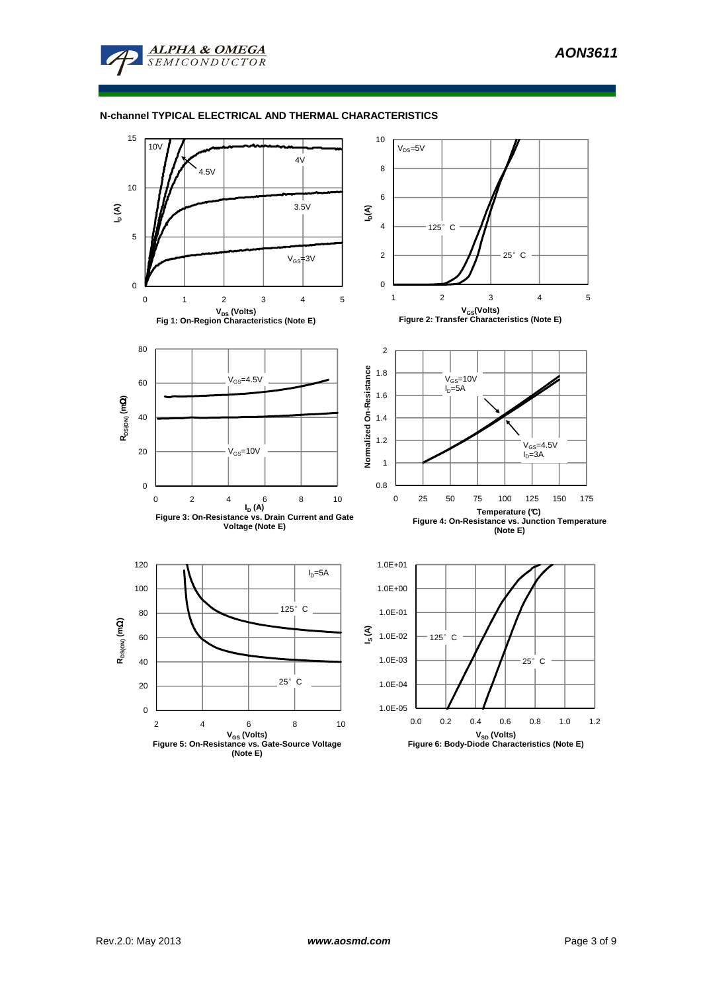#### **N-channel TYPICAL ELECTRICAL AND THERMAL CHARACTERISTICS**

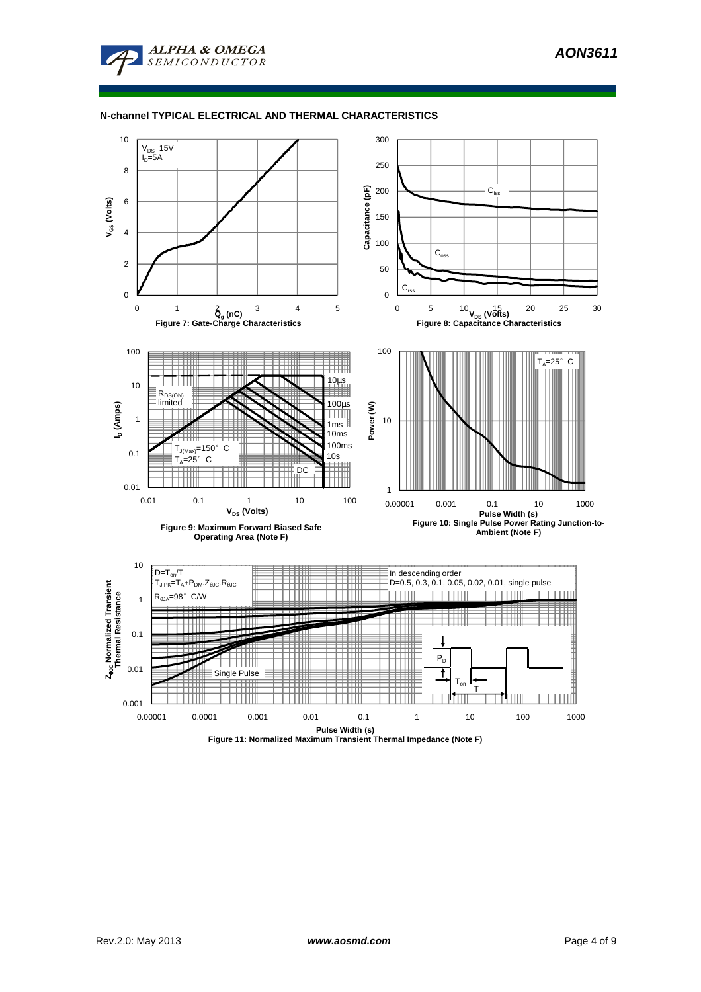#### **N-channel TYPICAL ELECTRICAL AND THERMAL CHARACTERISTICS**



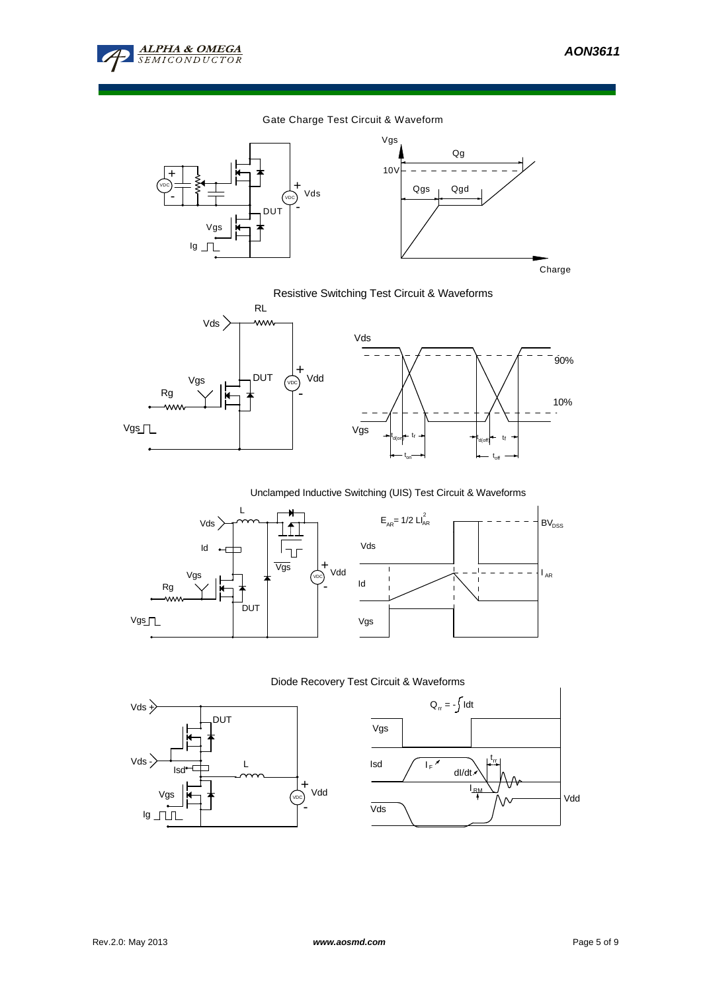

10%

**BV**<sub>DSS</sub>

 $I_{AR}$ 

90%

#### Gate Charge Test Circuit & Waveform





Resistive Switching Test Circuit & Waveforms



Unclamped Inductive Switching (UIS) Test Circuit & Waveforms



## Diode Recovery Test Circuit & Waveforms



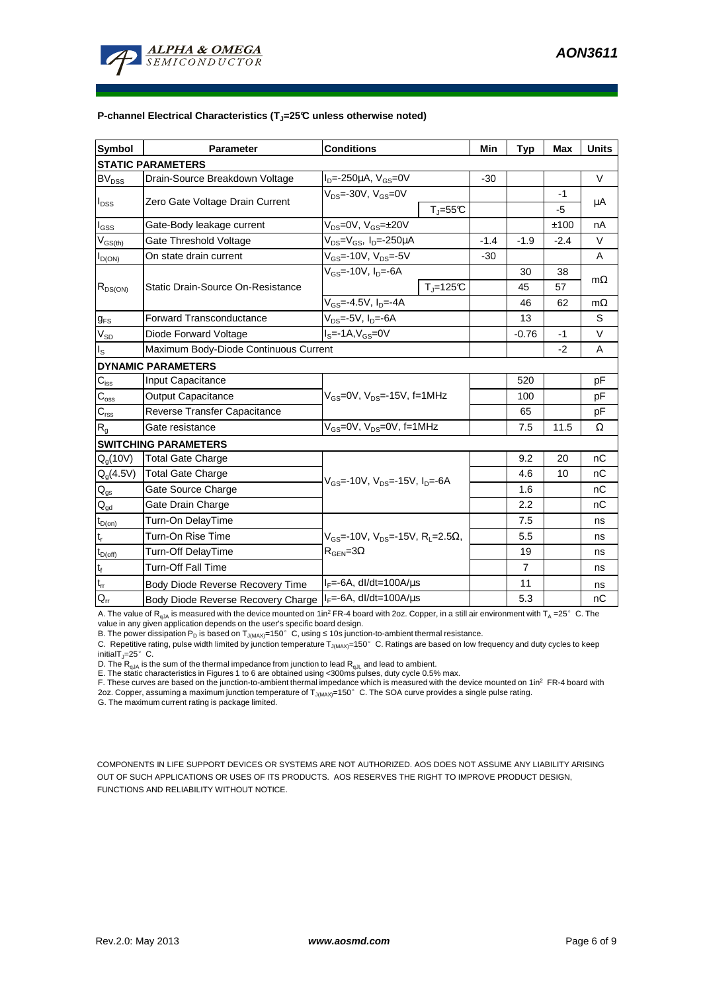

#### **P-channel Electrical Characteristics (TJ=25°C unless otherwise noted)**

| <b>Symbol</b>                | <b>Conditions</b><br><b>Parameter</b>    |                                                                                              |                          | Min    | <b>Typ</b>     | <b>Max</b> | <b>Units</b> |  |
|------------------------------|------------------------------------------|----------------------------------------------------------------------------------------------|--------------------------|--------|----------------|------------|--------------|--|
| <b>STATIC PARAMETERS</b>     |                                          |                                                                                              |                          |        |                |            |              |  |
| $\mathsf{BV}_{\mathsf{DSS}}$ | Drain-Source Breakdown Voltage           | $I_{D} = -250 \mu A$ , $V_{GS} = 0V$                                                         |                          | $-30$  |                |            | V            |  |
| $I_{DSS}$                    | Zero Gate Voltage Drain Current          | $V_{DS}$ =-30V, $V_{GS}$ =0V                                                                 |                          |        |                | $-1$       | μA           |  |
|                              |                                          |                                                                                              | $T_{\parallel} = 55$ °C  |        |                | $-5$       |              |  |
| $I_{\rm GSS}$                | Gate-Body leakage current                | $V_{DS} = 0V$ , $V_{GS} = \pm 20V$                                                           |                          |        |                | ±100       | nA           |  |
| $V_{GS(th)}$                 | Gate Threshold Voltage                   | $V_{DS} = V_{GS}$ , I <sub>D</sub> =-250µA                                                   |                          | $-1.4$ | $-1.9$         | $-2.4$     | V            |  |
| $I_{D(ON)}$                  | On state drain current                   | $V_{GS}$ =-10V, $V_{DS}$ =-5V                                                                |                          | $-30$  |                |            | A            |  |
| $R_{DS(ON)}$                 | <b>Static Drain-Source On-Resistance</b> | $V_{\text{GS}}$ =-10V, $I_{\text{D}}$ =-6A                                                   |                          |        | 30             | 38         | $m\Omega$    |  |
|                              |                                          |                                                                                              | $T_{\parallel} = 125$ °C |        | 45             | 57         |              |  |
|                              |                                          | $V_{GS} = -4.5V$ , $I_{D} = -4A$                                                             |                          |        | 46             | 62         | $m\Omega$    |  |
| $g_{FS}$                     | <b>Forward Transconductance</b>          | $V_{DS}$ =-5V, $I_D$ =-6A                                                                    |                          |        | 13             |            | S            |  |
| $V_{SD}$                     | Diode Forward Voltage                    | $IS=-1A, VGS=0V$                                                                             |                          |        | $-0.76$        | -1         | V            |  |
| ls                           | Maximum Body-Diode Continuous Current    |                                                                                              |                          |        |                | $-2$       | A            |  |
|                              | <b>DYNAMIC PARAMETERS</b>                |                                                                                              |                          |        |                |            |              |  |
| $C_{\text{iss}}$             | <b>Input Capacitance</b>                 | $V_{GS}$ =0V, $V_{DS}$ =-15V, f=1MHz                                                         |                          |        | 520            |            | pF           |  |
| $C_{\rm oss}$                | Output Capacitance                       |                                                                                              |                          |        | 100            |            | рF           |  |
| $C_{\rm rss}$                | Reverse Transfer Capacitance             |                                                                                              |                          |        | 65             |            | рF           |  |
| $R_{g}$                      | Gate resistance                          | $V_{GS}$ =0V, $V_{DS}$ =0V, f=1MHz                                                           |                          |        | 7.5            | 11.5       | Ω            |  |
|                              | <b>SWITCHING PARAMETERS</b>              |                                                                                              |                          |        |                |            |              |  |
| $Q_q(10V)$                   | Total Gate Charge                        | $V_{\text{GS}}$ =-10V, $V_{\text{DS}}$ =-15V, $I_{\text{DS}}$ =-6A                           |                          |        | 9.2            | 20         | nC           |  |
| $Q_g(4.5V)$                  | <b>Total Gate Charge</b>                 |                                                                                              |                          |        | 4.6            | 10         | nC           |  |
| $\mathsf{Q}_{\mathsf{gs}}$   | Gate Source Charge                       |                                                                                              |                          |        | 1.6            |            | nC           |  |
| $Q_{gd}$                     | Gate Drain Charge                        |                                                                                              |                          |        | 2.2            |            | nC           |  |
| $t_{D(on)}$                  | Turn-On DelayTime                        | $V_{GS}$ =-10V, $V_{DS}$ =-15V, R <sub>1</sub> =2.5 $\Omega$ ,<br>$R_{\text{GEN}} = 3\Omega$ |                          |        | 7.5            |            | ns           |  |
| $t_r$                        | Turn-On Rise Time                        |                                                                                              |                          |        | 5.5            |            | ns           |  |
| $t_{D(off)}$                 | Turn-Off DelayTime                       |                                                                                              |                          |        | 19             |            | ns           |  |
| $t_f$                        | Turn-Off Fall Time                       |                                                                                              |                          |        | $\overline{7}$ |            | ns           |  |
| $\mathfrak{t}_{\text{rr}}$   | Body Diode Reverse Recovery Time         | $I_F = -6A$ , dl/dt=100A/ $\mu$ s                                                            |                          |        | 11             |            | ns           |  |
| $Q_{rr}$                     | Body Diode Reverse Recovery Charge       | $I_F$ =-6A, dl/dt=100A/us                                                                    |                          |        | 5.3            |            | nC           |  |

A. The value of R<sub>qJA</sub> is measured with the device mounted on 1in<sup>2</sup> FR-4 board with 2oz. Copper, in a still air environment with T<sub>A</sub> =25°C. The

value in any given application depends on the user's specific board design.<br>B. The power dissipation P<sub>D</sub> is based on T<sub>J(MAX)</sub>=150°C, using ≤ 10s junction-to-ambient thermal resistance.

C. Repetitive rating, pulse width limited by junction temperature  $T_{J(MAX)}$ =150°C. Ratings are based on low frequency and duty cycles to keep initialT $_{1}$ =25°C.

D. The  $R_{qJA}$  is the sum of the thermal impedance from junction to lead  $R_{qJL}$  and lead to ambient.

E. The static characteristics in Figures 1 to 6 are obtained using <300ms pulses, duty cycle 0.5% max.<br>F. These curves are based on the junction-to-ambient thermal impedance which is measured with the device mounted on 1in 2oz. Copper, assuming a maximum junction temperature of  $T_{J(MAX)}$ =150°C. The SOA curve provides a single pulse rating.

G. The maximum current rating is package limited.

COMPONENTS IN LIFE SUPPORT DEVICES OR SYSTEMS ARE NOT AUTHORIZED. AOS DOES NOT ASSUME ANY LIABILITY ARISING OUT OF SUCH APPLICATIONS OR USES OF ITS PRODUCTS. AOS RESERVES THE RIGHT TO IMPROVE PRODUCT DESIGN, FUNCTIONS AND RELIABILITY WITHOUT NOTICE.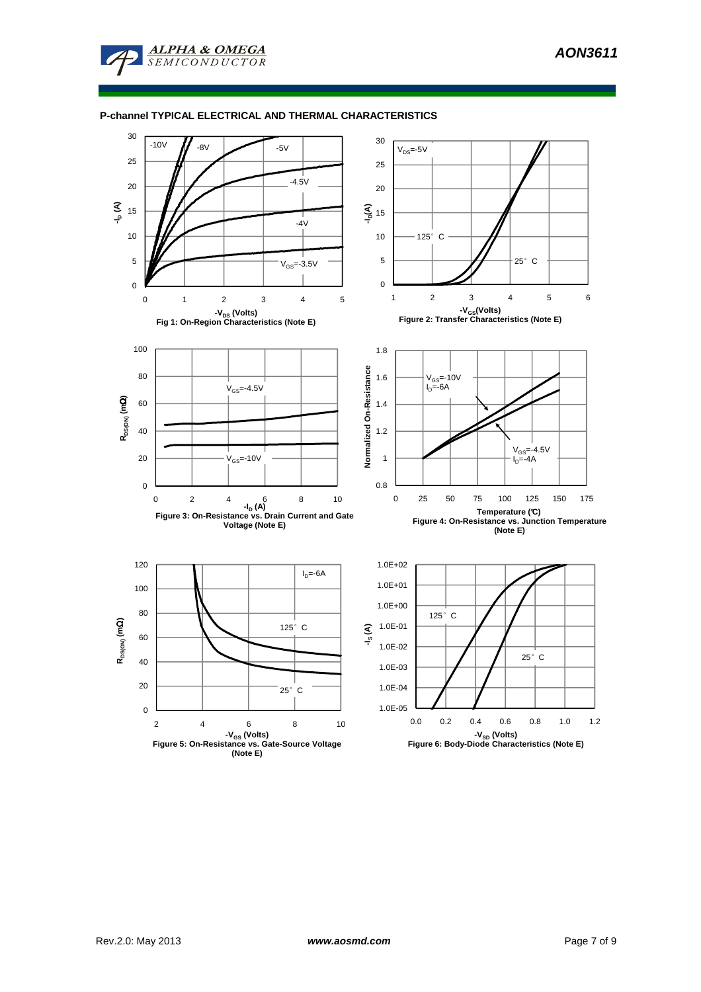#### **P-channel TYPICAL ELECTRICAL AND THERMAL CHARACTERISTICS**

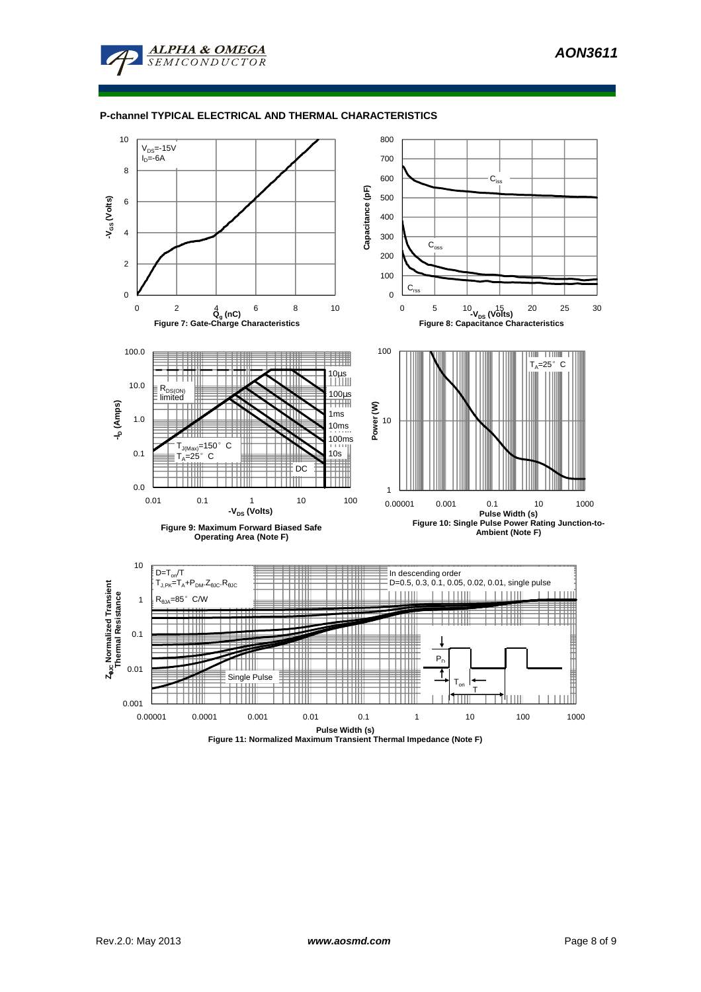